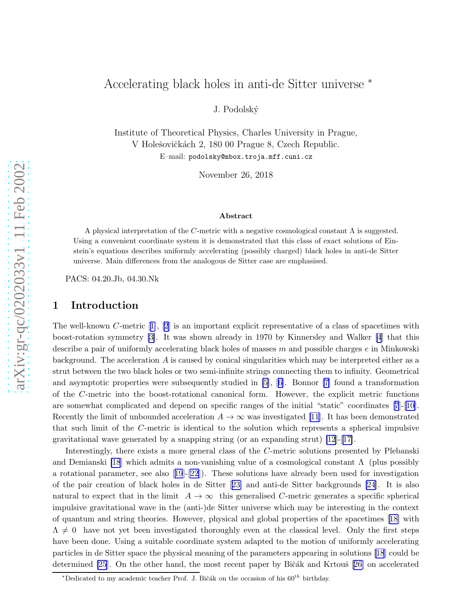# Accelerating black holes in anti-de Sitter universe ∗

J. Podolsk´y

Institute of Theoretical Physics, Charles University in Prague, V Holešovičkách 2, 180 00 Prague 8, Czech Republic. E–mail: podolsky@mbox.troja.mff.cuni.cz

November 26, 2018

#### Abstract

A physical interpretation of the C-metric with a negative cosmological constant  $\Lambda$  is suggested. Using a convenient coordinate system it is demonstrated that this class of exact solutions of Einstein's equations describes uniformly accelerating (possibly charged) black holes in anti-de Sitter universe. Main differences from the analogous de Sitter case are emphasised.

PACS: 04.20.Jb, 04.30.Nk

# 1 Introduction

The well-known C-metric[[1](#page-5-0)], [\[2](#page-5-0)] is an important explicit representative of a class of spacetimes with boost-rotation symmetry [\[3\]](#page-5-0). It was shown already in 1970 by Kinnersley and Walker[[4](#page-5-0)] that this describe a pair of uniformly accelerating black holes of masses  $m$  and possible charges  $e$  in Minkowski background. The acceleration  $A$  is caused by conical singularities which may be interpreted either as a strut between the two black holes or two semi-infinite strings connecting them to infinity. Geometrical and asymptotic properties were subsequently studied in [\[5\]](#page-5-0),[[6](#page-5-0)]. Bonnor [\[7\]](#page-5-0) found a transformation of the C-metric into the boost-rotational canonical form. However, the explicit metric functions are somewhat complicated and depend on specific ranges of the initial "static" coordinates[[7](#page-5-0)]-[[10\]](#page-6-0). Recently the limit of unbounded acceleration  $A \to \infty$  was investigated [\[11](#page-6-0)]. It has been demonstrated that such limit of the C-metric is identical to the solution which represents a spherical impulsive gravitational wave generated by a snapping string (or an expanding strut) [\[12](#page-6-0)]-[[17\]](#page-6-0).

Interestingly, there exists a more general class of the C-metric solutions presented by Plebanski and Demianski [\[18](#page-6-0)] which admits a non-vanishing value of a cosmological constant  $\Lambda$  (plus possibly a rotational parameter, see also[[19](#page-6-0)]-[\[22](#page-6-0)]). These solutions have already been used for investigation of the pair creation of black holes in de Sitter[[23\]](#page-6-0) and anti-de Sitter backgrounds [\[24](#page-6-0)]. It is also natural to expect that in the limit  $A \to \infty$  this generalised *C*-metric generates a specific spherical impulsive gravitational wave in the (anti-)de Sitter universe which may be interesting in the context of quantum and string theories. However, physical and global properties of the spacetimes[[18\]](#page-6-0) with  $\Lambda \neq 0$  have not yet been investigated thoroughly even at the classical level. Only the first steps have been done. Using a suitable coordinate system adapted to the motion of uniformly accelerating particles in de Sitter space the physical meaning of the parameters appearing in solutions [\[18](#page-6-0)] could be determined [\[25](#page-6-0)]. On the other hand, the most recent paper by Bičák and Krtouš [\[26](#page-6-0)] on accelerated

\*Dedicated to my academic teacher Prof. J. Bičák on the occasion of his  $60^{th}$  birthday.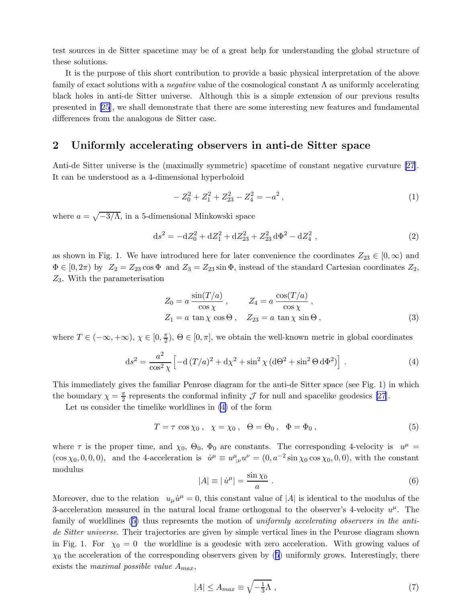<span id="page-1-0"></span>test sources in de Sitter spacetime may be of a great help for understanding the global structure of these solutions.

It is the purpose of this short contribution to provide a basic physical interpretation of the above family of exact solutions with a *negative* value of the cosmological constant  $\Lambda$  as uniformly accelerating black holes in anti-de Sitter universe. Although this is a simple extension of our previous results presented in [\[25](#page-6-0)], we shall demonstrate that there are some interesting new features and fundamental differences from the analogous de Sitter case.

### 2 Uniformly accelerating observers in anti-de Sitter space

Anti-de Sitter universe is the (maximally symmetric) spacetime of constant negative curvature [\[27\]](#page-6-0). It can be understood as a 4-dimensional hyperboloid

$$
-Z_0^2 + Z_1^2 + Z_{23}^2 - Z_4^2 = -a^2 , \t\t(1)
$$

where  $a = \sqrt{-3/\Lambda}$ , in a 5-dimensional Minkowski space

$$
ds^{2} = -dZ_{0}^{2} + dZ_{1}^{2} + dZ_{23}^{2} + Z_{23}^{2} d\Phi^{2} - dZ_{4}^{2} , \qquad (2)
$$

as shown in Fig. 1. We have introduced here for later convenience the coordinates  $Z_{23} \in [0,\infty)$  and  $\Phi \in [0, 2\pi)$  by  $Z_2 = Z_{23} \cos \Phi$  and  $Z_3 = Z_{23} \sin \Phi$ , instead of the standard Cartesian coordinates  $Z_2$ , Z3. With the parameterisation

$$
Z_0 = a \frac{\sin(T/a)}{\cos \chi}, \qquad Z_4 = a \frac{\cos(T/a)}{\cos \chi},
$$
  
\n
$$
Z_1 = a \tan \chi \cos \Theta, \quad Z_{23} = a \tan \chi \sin \Theta,
$$
 (3)

where  $T \in (-\infty, +\infty)$ ,  $\chi \in [0, \frac{\pi}{2})$ ,  $\Theta \in [0, \pi]$ , we obtain the well-known metric in global coordinates

$$
ds^{2} = \frac{a^{2}}{\cos^{2} \chi} \left[ -d(T/a)^{2} + d\chi^{2} + \sin^{2} \chi (d\Theta^{2} + \sin^{2} \Theta d\Phi^{2}) \right].
$$
 (4)

This immediately gives the familiar Penrose diagram for the anti-de Sitter space (see Fig. 1) in which the boundary  $\chi = \frac{\pi}{2}$  represents the conformal infinity  $\mathcal J$  for null and spacelike geodesics [\[27\]](#page-6-0).

Let us consider the timelike worldlines in (4) of the form

$$
T = \tau \cos \chi_0, \quad \chi = \chi_0, \quad \Theta = \Theta_0, \quad \Phi = \Phi_0,
$$
\n<sup>(5)</sup>

where  $\tau$  is the proper time, and  $\chi_0$ ,  $\Theta_0$ ,  $\Phi_0$  are constants. The corresponding 4-velocity is  $u^{\mu}$  =  $(\cos \chi_0, 0, 0, 0)$ , and the 4-acceleration is  $\dot{u}^\mu \equiv u^\mu_{;\nu} u^\nu = (0, a^{-2} \sin \chi_0 \cos \chi_0, 0, 0)$ , with the constant modulus

$$
|A| \equiv |\dot{u}^{\mu}| = \frac{\sin \chi_0}{a} \ . \tag{6}
$$

Moreover, due to the relation  $u_{\mu}\dot{u}^{\mu} = 0$ , this constant value of |A| is identical to the modulus of the 3-acceleration measured in the natural local frame orthogonal to the observer's 4-velocity  $u^{\mu}$ . The family of worldlines (5) thus represents the motion of uniformly accelerating observers in the antide Sitter universe. Their trajectories are given by simple vertical lines in the Penrose diagram shown in Fig. 1. For  $\chi_0 = 0$  the worldline is a geodesic with zero acceleration. With growing values of  $\chi_0$  the acceleration of the corresponding observers given by (5) uniformly grows. Interestingly, there exists the *maximal possible value*  $A_{max}$ ,

$$
|A| \le A_{max} \equiv \sqrt{-\frac{1}{3}\Lambda} \,,\tag{7}
$$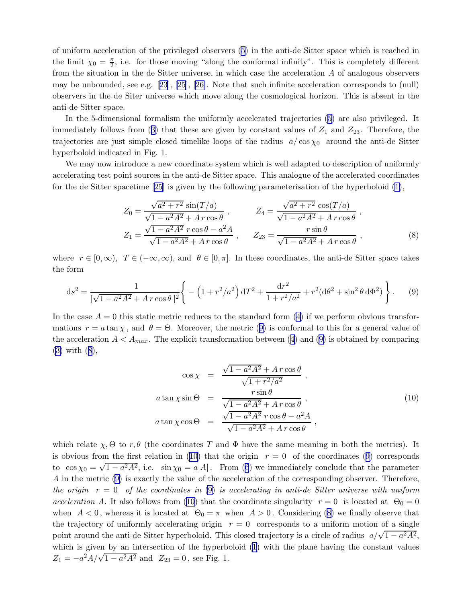<span id="page-2-0"></span>of uniform acceleration of the privileged observers([5](#page-1-0)) in the anti-de Sitter space which is reached in the limit  $\chi_0 = \frac{\pi}{2}$ , i.e. for those moving "along the conformal infinity". This is completely different from the situation in the de Sitter universe, in which case the acceleration A of analogous observers may be unbounded, see e.g.[[23](#page-6-0)], [\[25](#page-6-0)], [\[26\]](#page-6-0). Note that such infinite acceleration corresponds to (null) observers in the de Siter universe which move along the cosmological horizon. This is absent in the anti-de Sitter space.

In the 5-dimensional formalism the uniformly accelerated trajectories([5](#page-1-0)) are also privileged. It immediatelyfollows from ([3\)](#page-1-0) that these are given by constant values of  $Z_1$  and  $Z_{23}$ . Therefore, the trajectories are just simple closed timelike loops of the radius  $a/\cos\chi_0$  around the anti-de Sitter hyperboloid indicated in Fig. 1.

We may now introduce a new coordinate system which is well adapted to description of uniformly accelerating test point sources in the anti-de Sitter space. This analogue of the accelerated coordinates for the de Sitter spacetime[[25\]](#page-6-0) is given by the following parameterisation of the hyperboloid [\(1\)](#page-1-0),

$$
Z_0 = \frac{\sqrt{a^2 + r^2} \sin(T/a)}{\sqrt{1 - a^2 A^2} + A r \cos \theta}, \qquad Z_4 = \frac{\sqrt{a^2 + r^2} \cos(T/a)}{\sqrt{1 - a^2 A^2} + A r \cos \theta},
$$
  
\n
$$
Z_1 = \frac{\sqrt{1 - a^2 A^2} r \cos \theta - a^2 A}{\sqrt{1 - a^2 A^2} + A r \cos \theta}, \qquad Z_{23} = \frac{r \sin \theta}{\sqrt{1 - a^2 A^2} + A r \cos \theta},
$$
\n(8)

where  $r \in [0,\infty)$ ,  $T \in (-\infty,\infty)$ , and  $\theta \in [0,\pi]$ . In these coordinates, the anti-de Sitter space takes the form

$$
ds^{2} = \frac{1}{[\sqrt{1 - a^{2}A^{2}} + A r \cos \theta]^{2}} \left\{ -\left(1 + r^{2}/a^{2}\right) dT^{2} + \frac{dr^{2}}{1 + r^{2}/a^{2}} + r^{2}(d\theta^{2} + \sin^{2}\theta d\Phi^{2}) \right\}.
$$
 (9)

In the case  $A = 0$  this static metric reduces to the standard form [\(4\)](#page-1-0) if we perform obvious transformations  $r = a \tan \chi$ , and  $\theta = \Theta$ . Moreover, the metric (9) is conformal to this for a general value of theacceleration  $A < A_{max}$ . The explicit transformation between ([4](#page-1-0)) and (9) is obtained by comparing [\(3\)](#page-1-0) with (8),

$$
\cos \chi = \frac{\sqrt{1 - a^2 A^2} + A r \cos \theta}{\sqrt{1 + r^2/a^2}},
$$
  
\n
$$
a \tan \chi \sin \Theta = \frac{r \sin \theta}{\sqrt{1 - a^2 A^2} + A r \cos \theta},
$$
  
\n
$$
a \tan \chi \cos \Theta = \frac{\sqrt{1 - a^2 A^2} r \cos \theta - a^2 A}{\sqrt{1 - a^2 A^2} + A r \cos \theta},
$$
\n(10)

which relate  $\chi$ ,  $\Theta$  to r,  $\theta$  (the coordinates T and  $\Phi$  have the same meaning in both the metrics). It is obvious from the first relation in (10) that the origin  $r = 0$  of the coordinates (9) corresponds to $\cos \chi_0 = \sqrt{1 - a^2 A^2}$ , i.e.  $\sin \chi_0 = a|A|$ . From ([6](#page-1-0)) we immediately conclude that the parameter A in the metric (9) is exactly the value of the acceleration of the corresponding observer. Therefore, the origin  $r = 0$  of the coordinates in (9) is accelerating in anti-de Sitter universe with uniform acceleration A. It also follows from (10) that the coordinate singularity  $r = 0$  is located at  $\Theta_0 = 0$ when  $A < 0$ , whereas it is located at  $\Theta_0 = \pi$  when  $A > 0$ . Considering (8) we finally observe that the trajectory of uniformly accelerating origin  $r = 0$  corresponds to a uniform motion of a single point around the anti-de Sitter hyperboloid. This closed trajectory is a circle of radius  $a/\sqrt{1-a^2A^2}$ , which is given by an intersection of the hyperboloid([1](#page-1-0)) with the plane having the constant values  $Z_1 = -a^2 A / \sqrt{1 - a^2 A^2}$  and  $Z_{23} = 0$ , see Fig. 1.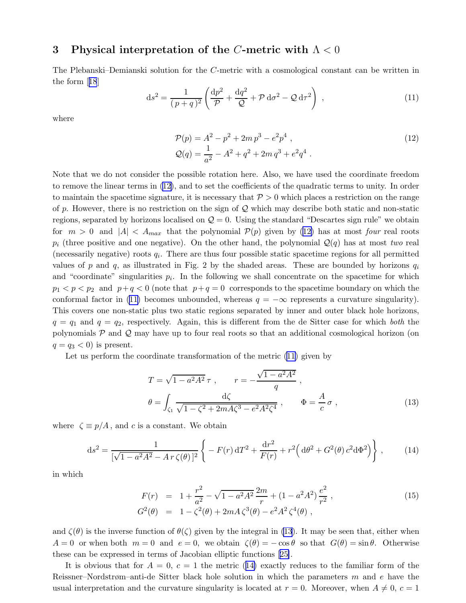# <span id="page-3-0"></span>3 Physical interpretation of the C-metric with  $\Lambda < 0$

The Plebanski–Demianski solution for the C-metric with a cosmological constant can be written in the form[[18](#page-6-0)]

$$
ds^{2} = \frac{1}{(p+q)^{2}} \left( \frac{dp^{2}}{\mathcal{P}} + \frac{dq^{2}}{\mathcal{Q}} + \mathcal{P} d\sigma^{2} - \mathcal{Q} d\tau^{2} \right) , \qquad (11)
$$

where

$$
\mathcal{P}(p) = A^2 - p^2 + 2m p^3 - e^2 p^4 ,
$$
  
\n
$$
\mathcal{Q}(q) = \frac{1}{a^2} - A^2 + q^2 + 2m q^3 + e^2 q^4 .
$$
\n(12)

Note that we do not consider the possible rotation here. Also, we have used the coordinate freedom to remove the linear terms in (12), and to set the coefficients of the quadratic terms to unity. In order to maintain the spacetime signature, it is necessary that  $P > 0$  which places a restriction on the range of p. However, there is no restriction on the sign of  $\mathcal Q$  which may describe both static and non-static regions, separated by horizons localised on  $\mathcal{Q} = 0$ . Using the standard "Descartes sign rule" we obtain for  $m > 0$  and  $|A| < A_{max}$  that the polynomial  $\mathcal{P}(p)$  given by (12) has at most four real roots  $p_i$  (three positive and one negative). On the other hand, the polynomial  $\mathcal{Q}(q)$  has at most two real (necessarily negative) roots  $q_i$ . There are thus four possible static spacetime regions for all permitted values of p and q, as illustrated in Fig. 2 by the shaded areas. These are bounded by horizons  $q_i$ and "coordinate" singularities  $p_i$ . In the following we shall concentrate on the spacetime for which  $p_1 < p \lt p_2$  and  $p+q < 0$  (note that  $p+q = 0$  corresponds to the spacetime boundary on which the conformal factor in (11) becomes unbounded, whereas  $q = -\infty$  represents a curvature singularity). This covers one non-static plus two static regions separated by inner and outer black hole horizons,  $q = q_1$  and  $q = q_2$ , respectively. Again, this is different from the de Sitter case for which both the polynomials  $P$  and  $Q$  may have up to four real roots so that an additional cosmological horizon (on  $q = q_3 < 0$  is present.

Let us perform the coordinate transformation of the metric (11) given by

$$
T = \sqrt{1 - a^2 A^2} \tau , \qquad r = -\frac{\sqrt{1 - a^2 A^2}}{q} ,
$$
  

$$
\theta = \int_{\zeta_1} \frac{d\zeta}{\sqrt{1 - \zeta^2 + 2m A \zeta^3 - e^2 A^2 \zeta^4}} , \qquad \Phi = \frac{A}{c} \sigma ,
$$
 (13)

where  $\zeta \equiv p/A$ , and c is a constant. We obtain

$$
ds^{2} = \frac{1}{[\sqrt{1 - a^{2}A^{2}} - Ar\,\zeta(\theta)]^{2}} \left\{ -F(r) \,dT^{2} + \frac{dr^{2}}{F(r)} + r^{2} \Big( d\theta^{2} + G^{2}(\theta) \, c^{2} d\Phi^{2} \Big) \right\},
$$
 (14)

in which

$$
F(r) = 1 + \frac{r^2}{a^2} - \sqrt{1 - a^2 A^2} \frac{2m}{r} + (1 - a^2 A^2) \frac{e^2}{r^2},
$$
  
\n
$$
G^2(\theta) = 1 - \zeta^2(\theta) + 2m A \zeta^3(\theta) - e^2 A^2 \zeta^4(\theta),
$$
\n(15)

and  $\zeta(\theta)$  is the inverse function of  $\theta(\zeta)$  given by the integral in (13). It may be seen that, either when  $A = 0$  or when both  $m = 0$  and  $e = 0$ , we obtain  $\zeta(\theta) = -\cos \theta$  so that  $G(\theta) = \sin \theta$ . Otherwise these can be expressed in terms of Jacobian elliptic functions[[25\]](#page-6-0).

It is obvious that for  $A = 0$ ,  $c = 1$  the metric (14) exactly reduces to the familiar form of the Reissner–Nordstrøm–anti-de Sitter black hole solution in which the parameters  $m$  and  $e$  have the usual interpretation and the curvature singularity is located at  $r = 0$ . Moreover, when  $A \neq 0$ ,  $c = 1$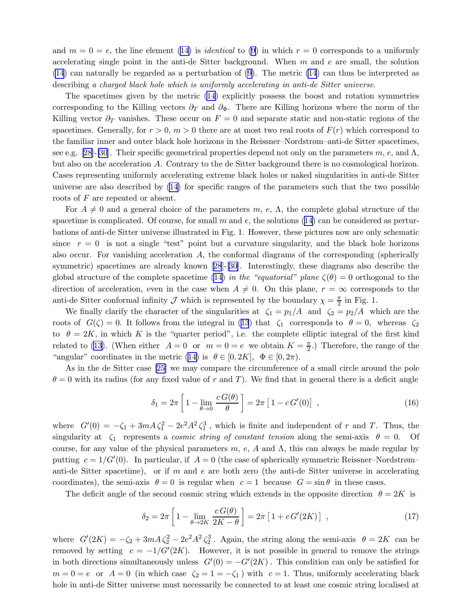and  $m = 0 = e$ , the line element [\(14\)](#page-3-0) is *identical* to [\(9\)](#page-2-0) in which  $r = 0$  corresponds to a uniformly accelerating single point in the anti-de Sitter background. When  $m$  and  $e$  are small, the solution [\(14](#page-3-0)) can naturally be regarded as a perturbation of [\(9\)](#page-2-0). The metric [\(14](#page-3-0)) can thus be interpreted as describing a charged black hole which is uniformly accelerating in anti-de Sitter universe.

The spacetimes given by the metric [\(14\)](#page-3-0) explicitly possess the boost and rotation symmetries corresponding to the Killing vectors  $\partial_T$  and  $\partial_{\Phi}$ . There are Killing horizons where the norm of the Killing vector  $\partial_T$  vanishes. These occur on  $F = 0$  and separate static and non-static regions of the spacetimes. Generally, for  $r > 0$ ,  $m > 0$  there are at most two real roots of  $F(r)$  which correspond to the familiar inner and outer black hole horizons in the Reissner–Nordstrøm–anti-de Sitter spacetimes, seee.g. [[28\]](#page-6-0)-[\[30](#page-7-0)]. Their specific geometrical properties depend not only on the parameters  $m, e,$  and  $\Lambda$ , but also on the acceleration A. Contrary to the de Sitter background there is no cosmological horizon. Cases representing uniformly accelerating extreme black holes or naked singularities in anti-de Sitter universe are also described by([14\)](#page-3-0) for specific ranges of the parameters such that the two possible roots of F are repeated or absent.

For  $A \neq 0$  and a general choice of the parameters m, e,  $\Lambda$ , the complete global structure of the spacetime is complicated. Of course, for small m and e, the solutions  $(14)$  can be considered as perturbations of anti-de Sitter universe illustrated in Fig. 1. However, these pictures now are only schematic since  $r = 0$  is not a single "test" point but a curvature singularity, and the black hole horizons also occur. For vanishing acceleration A, the conformal diagrams of the corresponding (spherically symmetric)spacetimes are already known [[28](#page-6-0)]-[\[30](#page-7-0)]. Interestingly, these diagrams also describe the global structure of the complete spacetime [\(14](#page-3-0)) in the "equatorial" plane  $\zeta(\theta) = 0$  orthogonal to the direction of acceleration, even in the case when  $A \neq 0$ . On this plane,  $r = \infty$  corresponds to the anti-de Sitter conformal infinity  $\mathcal J$  which is represented by the boundary  $\chi = \frac{\pi}{2}$  in Fig. 1.

We finally clarify the character of the singularities at  $\zeta_1 = p_1/A$  and  $\zeta_2 = p_2/A$  which are the rootsof  $G(\zeta) = 0$ . It follows from the integral in ([13](#page-3-0)) that  $\zeta_1$  corresponds to  $\theta = 0$ , whereas  $\zeta_2$ to  $\theta = 2K$ , in which K is the "quarter period", i.e. the complete elliptic integral of the first kind related to [\(13](#page-3-0)). (When either  $A = 0$  or  $m = 0 = e$  we obtain  $K = \frac{\pi}{2}$ .) Therefore, the range of the "angular" coordinates in the metric [\(14\)](#page-3-0) is  $\theta \in [0, 2K]$ ,  $\Phi \in [0, 2\pi)$ .

As in the de Sitter case[[25\]](#page-6-0) we may compare the circumference of a small circle around the pole  $\theta = 0$  with its radius (for any fixed value of r and T). We find that in general there is a deficit angle

$$
\delta_1 = 2\pi \left[ 1 - \lim_{\theta \to 0} \frac{c G(\theta)}{\theta} \right] = 2\pi \left[ 1 - c G'(0) \right] , \qquad (16)
$$

where  $G'(0) = -\zeta_1 + 3mA\zeta_1^2 - 2e^2A^2\zeta_1^3$ , which is finite and independent of r and T. Thus, the singularity at  $\zeta_1$  represents a *cosmic string of constant tension* along the semi-axis  $\theta = 0$ . Of course, for any value of the physical parameters m, e, A and  $\Lambda$ , this can always be made regular by putting  $c = 1/G'(0)$ . In particular, if  $A = 0$  (the case of spherically symmetric Reissner–Nordstrøm– anti-de Sitter spacetime), or if m and e are both zero (the anti-de Sitter universe in accelerating coordinates), the semi-axis  $\theta = 0$  is regular when  $c = 1$  because  $G = \sin \theta$  in these cases.

The deficit angle of the second cosmic string which extends in the opposite direction  $\theta = 2K$  is

$$
\delta_2 = 2\pi \left[ 1 - \lim_{\theta \to 2K} \frac{c G(\theta)}{2K - \theta} \right] = 2\pi \left[ 1 + c G'(2K) \right] , \qquad (17)
$$

where  $G'(2K) = -\zeta_2 + 3mA\zeta_2^2 - 2e^2A^2\zeta_2^3$ . Again, the string along the semi-axis  $\theta = 2K$  can be removed by setting  $c = -1/G'(2K)$ . However, it is not possible in general to remove the strings in both directions simultaneously unless  $G'(0) = -G'(2K)$ . This condition can only be satisfied for  $m = 0 = e$  or  $A = 0$  (in which case  $\zeta_2 = 1 = -\zeta_1$ ) with  $c = 1$ . Thus, uniformly accelerating black hole in anti-de Sitter universe must necessarily be connected to at least one cosmic string localised at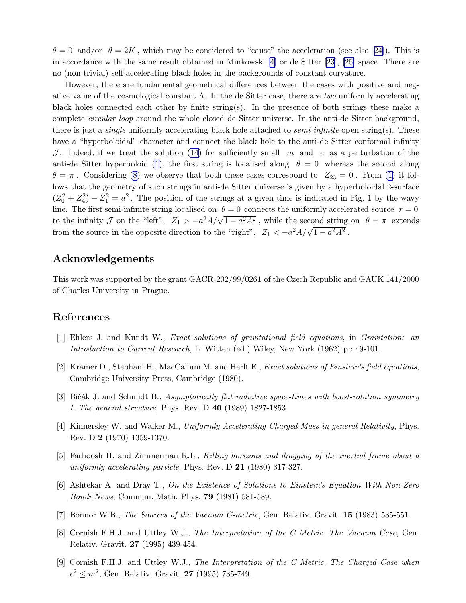<span id="page-5-0"></span> $\theta = 0$  $\theta = 0$  $\theta = 0$  and/or  $\theta = 2K$ , which may be considered to "cause" the acceleration (see also [[24\]](#page-6-0)). This is in accordance with the same result obtained in Minkowski [4] or de Sitter [\[23](#page-6-0)], [\[25](#page-6-0)] space. There are no (non-trivial) self-accelerating black holes in the backgrounds of constant curvature.

However, there are fundamental geometrical differences between the cases with positive and negative value of the cosmological constant  $\Lambda$ . In the de Sitter case, there are two uniformly accelerating black holes connected each other by finite string(s). In the presence of both strings these make a complete *circular loop* around the whole closed de Sitter universe. In the anti-de Sitter background, there is just a *single* uniformly accelerating black hole attached to *semi-infinite* open string(s). These have a "hyperboloidal" character and connect the black hole to the anti-de Sitter conformal infinity J. Indeed, if we treat the solution [\(14](#page-3-0)) for sufficiently small m and e as a perturbation of the anti-deSitter hyperboloid ([1](#page-1-0)), the first string is localised along  $\theta = 0$  whereas the second along  $\theta = \pi$  $\theta = \pi$  $\theta = \pi$ . Considering ([8](#page-2-0)) we observe that both these cases correspond to  $Z_{23} = 0$ . From [\(1\)](#page-1-0) it follows that the geometry of such strings in anti-de Sitter universe is given by a hyperboloidal 2-surface  $(Z_0^2 + Z_4^2) - Z_1^2 = a^2$ . The position of the strings at a given time is indicated in Fig. 1 by the wavy line. The first semi-infinite string localised on  $\theta = 0$  connects the uniformly accelerated source  $r = 0$ to the infinity  $\mathcal J$  on the "left",  $Z_1 > -a^2 A/\sqrt{1-a^2 A^2}$ , while the second string on  $\theta = \pi$  extends from the source in the opposite direction to the "right",  $Z_1 < -a^2 A/\sqrt{1 - a^2 A^2}$ .

# Acknowledgements

This work was supported by the grant GACR-202/99/0261 of the Czech Republic and GAUK 141/2000 of Charles University in Prague.

# References

- [1] Ehlers J. and Kundt W., Exact solutions of gravitational field equations, in Gravitation: an Introduction to Current Research, L. Witten (ed.) Wiley, New York (1962) pp 49-101.
- [2] Kramer D., Stephani H., MacCallum M. and Herlt E., Exact solutions of Einstein's field equations, Cambridge University Press, Cambridge (1980).
- [3] Bičák J. and Schmidt B., Asymptotically flat radiative space-times with boost-rotation symmetry I. The general structure, Phys. Rev. D 40 (1989) 1827-1853.
- [4] Kinnersley W. and Walker M., Uniformly Accelerating Charged Mass in general Relativity, Phys. Rev. D 2 (1970) 1359-1370.
- [5] Farhoosh H. and Zimmerman R.L., Killing horizons and dragging of the inertial frame about a uniformly accelerating particle, Phys. Rev. D  $21$  (1980) 317-327.
- [6] Ashtekar A. and Dray T., On the Existence of Solutions to Einstein's Equation With Non-Zero Bondi News, Commun. Math. Phys. 79 (1981) 581-589.
- [7] Bonnor W.B., *The Sources of the Vacuum C-metric*, Gen. Relativ. Gravit. **15** (1983) 535-551.
- [8] Cornish F.H.J. and Uttley W.J., The Interpretation of the C Metric. The Vacuum Case, Gen. Relativ. Gravit. 27 (1995) 439-454.
- [9] Cornish F.H.J. and Uttley W.J., The Interpretation of the C Metric. The Charged Case when  $e^2 \le m^2$ , Gen. Relativ. Gravit. **27** (1995) 735-749.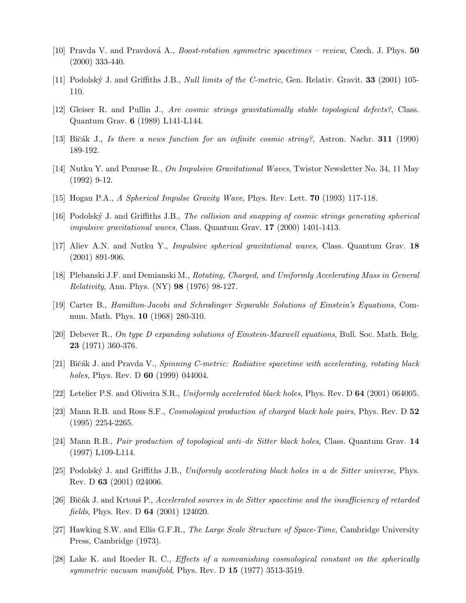- <span id="page-6-0"></span>[10] Pravda V. and Pravdová A., *Boost-rotation symmetric spacetimes – review*, Czech. J. Phys. 50 (2000) 333-440.
- [11] Podolský J. and Griffiths J.B., *Null limits of the C-metric*, Gen. Relativ. Gravit. **33** (2001) 105-110.
- [12] Gleiser R. and Pullin J., Are cosmic strings gravitationally stable topological defects?, Class. Quantum Grav. 6 (1989) L141-L144.
- [13] Bičák J., Is there a news function for an infinite cosmic string?, Astron. Nachr. 311 (1990) 189-192.
- [14] Nutku Y. and Penrose R., On Impulsive Gravitational Waves, Twistor Newsletter No. 34, 11 May (1992) 9-12.
- [15] Hogan P.A., A Spherical Impulse Gravity Wave, Phys. Rev. Lett. 70 (1993) 117-118.
- [16] Podolsk´y J. and Griffiths J.B., The collision and snapping of cosmic strings generating spherical impulsive gravitational waves, Class. Quantum Grav. 17 (2000) 1401-1413.
- [17] Aliev A.N. and Nutku Y., Impulsive spherical gravitational waves, Class. Quantum Grav. 18 (2001) 891-906.
- [18] Plebanski J.F. and Demianski M., Rotating, Charged, and Uniformly Accelerating Mass in General Relativity, Ann. Phys. (NY) 98 (1976) 98-127.
- [19] Carter B., Hamilton-Jacobi and Schrodinger Separable Solutions of Einstein's Equations, Commun. Math. Phys. 10 (1968) 280-310.
- [20] Debever R., On type D expanding solutions of Einstein-Maxwell equations, Bull. Soc. Math. Belg. 23 (1971) 360-376.
- [21] Bičák J. and Pravda V., Spinning C-metric: Radiative spacetime with accelerating, rotating black holes, Phys. Rev. D **60** (1999) 044004.
- [22] Letelier P.S. and Oliveira S.R., Uniformly accelerated black holes, Phys. Rev. D 64 (2001) 064005.
- [23] Mann R.B. and Ross S.F., *Cosmological production of charged black hole pairs*, Phys. Rev. D 52 (1995) 2254-2265.
- [24] Mann R.B., Pair production of topological anti–de Sitter black holes, Class. Quantum Grav. 14 (1997) L109-L114.
- [25] Podolský J. and Griffiths J.B., Uniformly accelerating black holes in a de Sitter universe, Phys. Rev. D 63 (2001) 024006.
- [26] Bičák J. and Krtouš P., Accelerated sources in de Sitter spacetime and the insufficiency of retarded fields, Phys. Rev. D 64 (2001) 124020.
- [27] Hawking S.W. and Ellis G.F.R., The Large Scale Structure of Space-Time, Cambridge University Press, Cambridge (1973).
- [28] Lake K. and Roeder R. C., Effects of a nonvanishing cosmological constant on the spherically symmetric vacuum manifold, Phys. Rev. D 15 (1977) 3513-3519.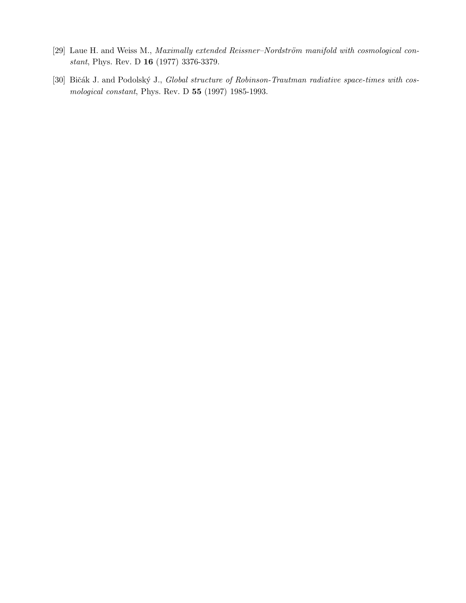- <span id="page-7-0"></span>[29] Laue H. and Weiss M., Maximally extended Reissner-Nordström manifold with cosmological constant, Phys. Rev. D 16 (1977) 3376-3379.
- [30] Bičák J. and Podolský J., Global structure of Robinson-Trautman radiative space-times with cosmological constant, Phys. Rev. D 55 (1997) 1985-1993.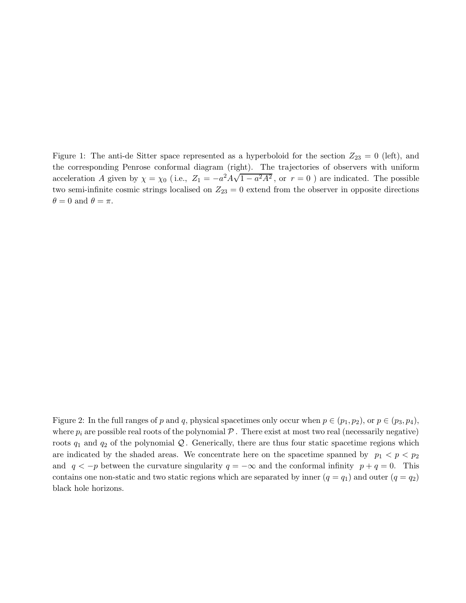Figure 1: The anti-de Sitter space represented as a hyperboloid for the section  $Z_{23} = 0$  (left), and the corresponding Penrose conformal diagram (right). The trajectories of observers with uniform acceleration A given by  $\chi = \chi_0$  (i.e.,  $Z_1 = -a^2 A \sqrt{1 - a^2 A^2}$ , or  $r = 0$ ) are indicated. The possible two semi-infinite cosmic strings localised on  $Z_{23} = 0$  extend from the observer in opposite directions  $\theta = 0$  and  $\theta = \pi$ .

Figure 2: In the full ranges of p and q, physical spacetimes only occur when  $p \in (p_1, p_2)$ , or  $p \in (p_3, p_4)$ , where  $p_i$  are possible real roots of the polynomial  $P$ . There exist at most two real (necessarily negative) roots  $q_1$  and  $q_2$  of the polynomial Q. Generically, there are thus four static spacetime regions which are indicated by the shaded areas. We concentrate here on the spacetime spanned by  $p_1 < p < p_2$ and  $q < -p$  between the curvature singularity  $q = -\infty$  and the conformal infinity  $p + q = 0$ . This contains one non-static and two static regions which are separated by inner  $(q = q_1)$  and outer  $(q = q_2)$ black hole horizons.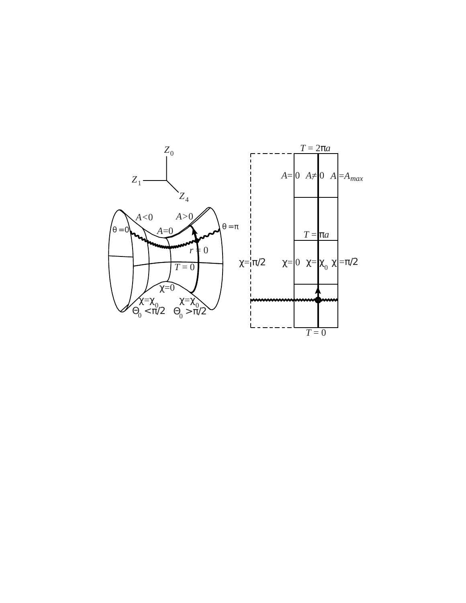